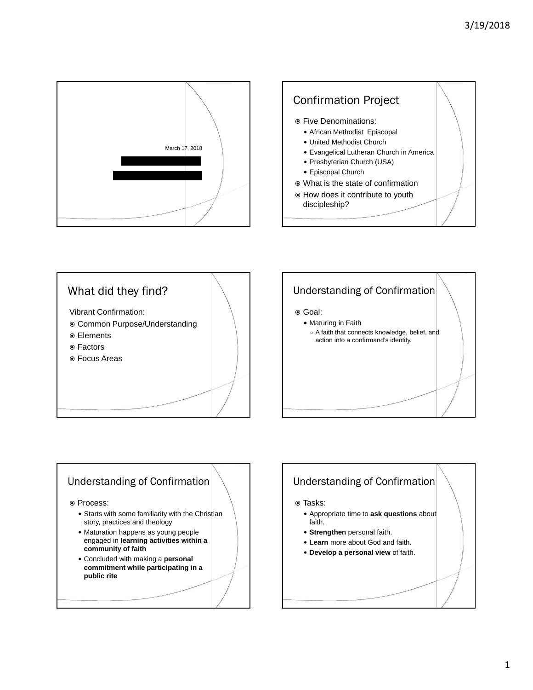







#### Understanding of Confirmation

 $\circ$  Process:

- Starts with some familiarity with the Christian story, practices and theology
- Maturation happens as young people engaged in **learning activities within a community of faith**
- Concluded with making a **personal commitment while participating in a public rite**

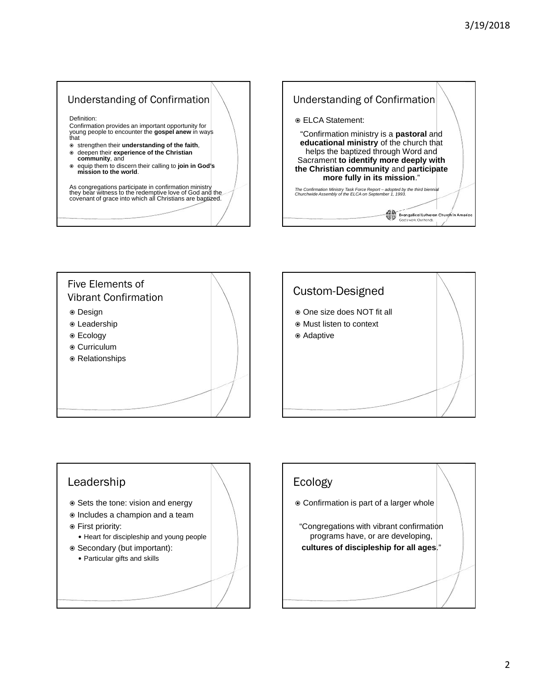#### Understanding of Confirmation

Definition:

Confirmation provides an important opportunity for young people to encounter the **gospel anew** in ways that

- strengthen their **understanding of the faith**, deepen their **experience of the Christian community**, and
- equip them to discern their calling to **join in God's**<br> **mission to the world**.

As congregations participate in confirmation ministry<br>they bear witness to the redemptive love of God and the<br>covenant of grace into which all Christians are baptized.









### Ecology

- Confirmation is part of a larger whole
- "Congregations with vibrant confirmation programs have, or are developing, **cultures of discipleship for all ages**."